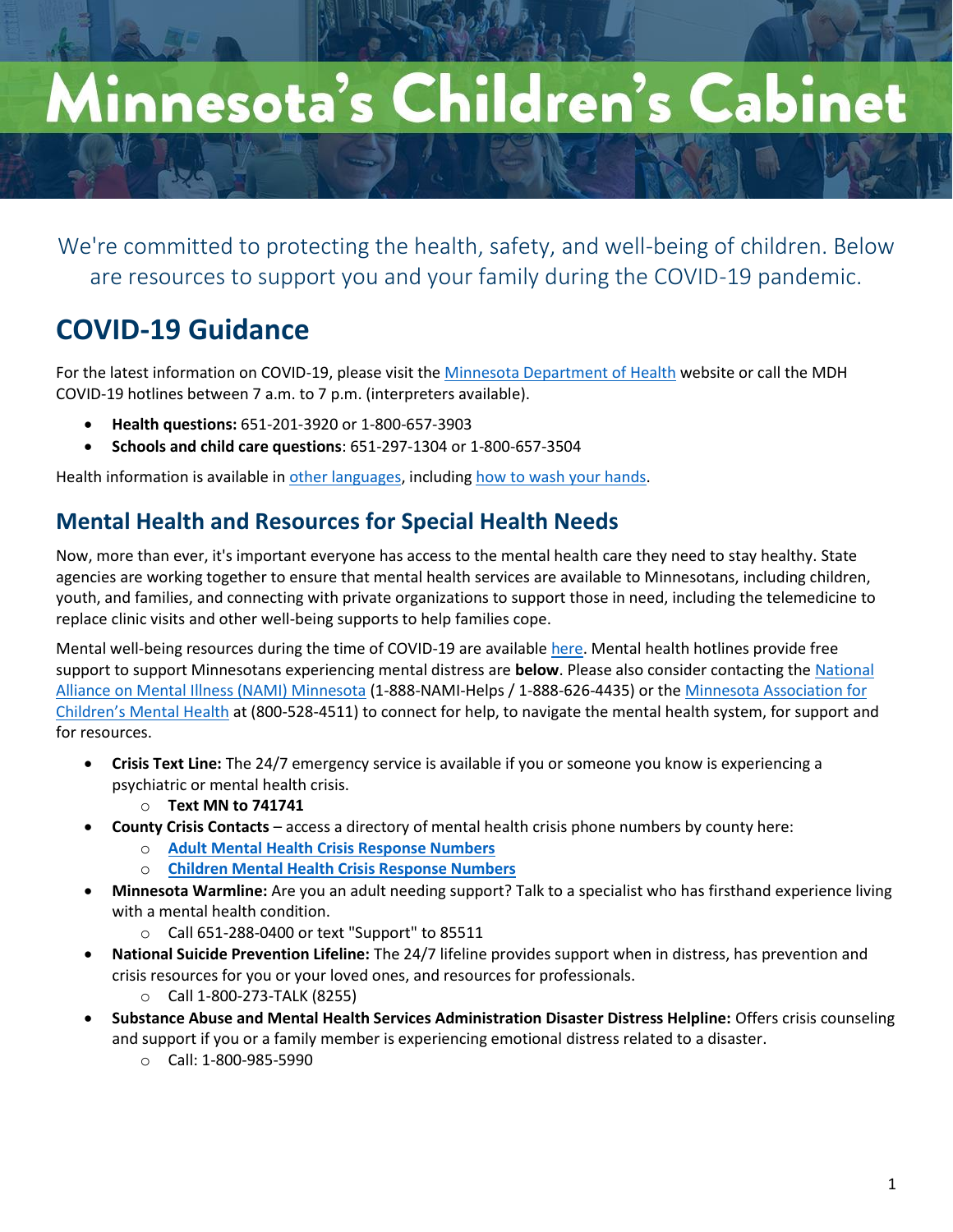# Minnesota's Children's Cabinet

We're committed to protecting the health, safety, and well-being of children. Below are resources to support you and your family during the COVID-19 pandemic.

## **COVID-19 Guidance**

For the latest information on COVID-19, please visit th[e Minnesota Department of Health](https://www.health.state.mn.us/diseases/coronavirus/index.html) website or call the MDH COVID-19 hotlines between 7 a.m. to 7 p.m. (interpreters available).

- **Health questions:** 651-201-3920 or 1-800-657-3903
- **Schools and child care questions**: 651-297-1304 or 1-800-657-3504

Health information is available in [other languages,](https://www.health.state.mn.us/diseases/coronavirus/materials/index.html) including [how to wash your hands.](https://www.health.state.mn.us/diseases/coronavirus/materials/videos.html)

## **Mental Health and Resources for Special Health Needs**

Now, more than ever, it's important everyone has access to the mental health care they need to stay healthy. State agencies are working together to ensure that mental health services are available to Minnesotans, including children, youth, and families, and connecting with private organizations to support those in need, including the telemedicine to replace clinic visits and other well-being supports to help families cope.

Mental well-being resources during the time of COVID-19 are available [here.](https://www.health.state.mn.us/docs/communities/mentalhealth/mwbcovid19.pdf) Mental health hotlines provide free support to support Minnesotans experiencing mental distress are **below**. Please also consider contacting th[e National](https://namimn.org/)  [Alliance on Mental Illness \(NAMI\) Minnesota](https://namimn.org/) (1-888-NAMI-Helps / 1-888-626-4435) or the [Minnesota Association for](https://macmh.org/)  [Children's Mental Health](https://macmh.org/) at (800-528-4511) to connect for help, to navigate the mental health system, for support and for resources.

- **Crisis Text Line:** The 24/7 emergency service is available if you or someone you know is experiencing a psychiatric or mental health crisis.
	- o **Text MN to 741741**
- **County Crisis Contacts**  access a directory of mental health crisis phone numbers by county here:
	- o **[Adult Mental Health Crisis Response Numbers](https://mn.gov/dhs/people-we-serve/adults/health-care/mental-health/resources/crisis-contacts.jsp)**
	- o **[Children Mental Health Crisis Response Numbers](https://mn365-my.sharepoint.com/personal/kristen_freeman_state_mn_us/Documents/SEGIP/Town%20Hall/o%09https:/mn.gov/dhs/people-we-serve/people-with-disabilities/health-care/childrens-mental-health/resources/crisis-contacts.jsp)**
- **Minnesota Warmline:** Are you an adult needing support? Talk to a specialist who has firsthand experience living with a mental health condition.
	- o Call 651-288-0400 or text "Support" to 85511
- **National Suicide Prevention Lifeline:** The 24/7 lifeline provides support when in distress, has prevention and crisis resources for you or your loved ones, and resources for professionals.
	- o Call 1-800-273-TALK (8255)
- **Substance Abuse and Mental Health Services Administration Disaster Distress Helpline:** Offers crisis counseling and support if you or a family member is experiencing emotional distress related to a disaster.
	- o Call: 1-800-985-5990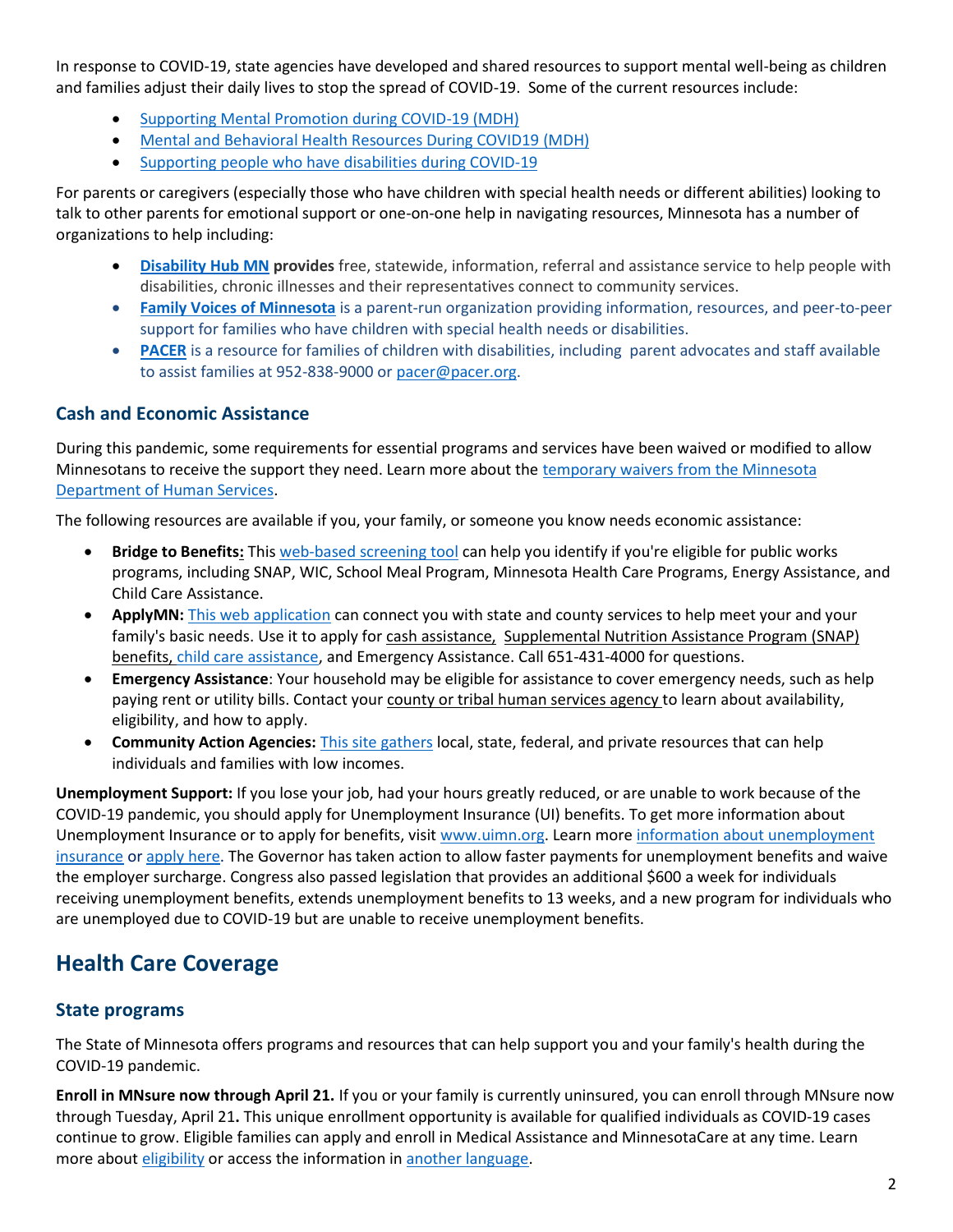In response to COVID-19, state agencies have developed and shared resources to support mental well-being as children and families adjust their daily lives to stop the spread of COVID-19. Some of the current resources include:

- [Supporting Mental Promotion during COVID-19](https://www.health.state.mn.us/communities/mentalhealth/index.html) (MDH)
- [Mental and Behavioral Health Resources During COVID19](https://www.health.state.mn.us/communities/ep/behavioral/covid19.html) (MDH)
- [Supporting people who have disabilities during COVID-19](https://disabilityhubmn.org/health/coronavirus-disease-2019-covid-19)

For parents or caregivers (especially those who have children with special health needs or different abilities) looking to talk to other parents for emotional support or one-on-one help in navigating resources, Minnesota has a number of organizations to help including:

- **[Disability Hub MN](https://disabilityhubmn.org/health/coronavirus-disease-2019-covid-19) provides** free, statewide, information, referral and assistance service to help people with disabilities, chronic illnesses and their representatives connect to community services.
- **[Family Voices of Minnesota](http://www.familyvoicesofminnesota.org/)** is a parent-run organization providing information, resources, and peer-to-peer support for families who have children with special health needs or disabilities.
- **[PACER](https://gcc01.safelinks.protection.outlook.com/?url=https%3A%2F%2Fwww.pacer.org%2F&data=02%7C01%7Cnicole.brown%40state.mn.us%7Cc77af13865874d0895fd08d7e0b41847%7Ceb14b04624c445198f26b89c2159828c%7C0%7C0%7C637224936419448001&sdata=3lgj9vKkVeTqqZuobna6S0bAAV2TFx4%2FPf1m1z6B6BA%3D&reserved=0)** is a resource for families of children with disabilities, including parent advocates and staff available to assist families at 952-838-9000 o[r pacer@pacer.org.](mailto:pacer@pacer.org)

#### **Cash and Economic Assistance**

During this pandemic, some requirements for essential programs and services have been waived or modified to allow Minnesotans to receive the support they need. Learn more about th[e temporary waivers from the Minnesota](https://mn.gov/dhs/waivers-and-modifications/)  [Department of Human Services.](https://mn.gov/dhs/waivers-and-modifications/)

The following resources are available if you, your family, or someone you know needs economic assistance:

- **Bridge to Benefits:** Thi[s web-based screening tool](http://www.bridgetobenefits.org/Home2) can help you identify if you're eligible for public works programs, including SNAP, WIC, School Meal Program, Minnesota Health Care Programs, Energy Assistance, and Child Care Assistance.
- ApplyMN: [This web application](https://applymn.dhs.mn.gov/online-app-web/spring/public/process-login?execution=e1s1) can connect you with state and county services to help meet your and your family's basic needs. Use it to apply for [cash assistance,](https://edocs.dhs.state.mn.us/lfserver/Public/DHS-2920-ENG) Supplemental Nutrition Assistance Program (SNAP) [benefits,](https://edocs.dhs.state.mn.us/lfserver/Public/DHS-2814-ENG) [child care assistance,](https://edocs.dhs.state.mn.us/lfserver/Public/DHS-3551-ENG) and Emergency Assistance. Call 651-431-4000 for questions.
- **Emergency Assistance**: Your household may be eligible for assistance to cover emergency needs, such as help paying rent or utility bills. Contact you[r county or tribal human services agency t](https://edocs.dhs.state.mn.us/lfserver/Public/DHS-5207-ENG)o learn about availability, eligibility, and how to apply.
- **Community Action Agencies:** [This site gathers](https://www.minncap.org/) local, state, federal, and private resources that can help individuals and families with low incomes.

**Unemployment Support:** If you lose your job, had your hours greatly reduced, or are unable to work because of the COVID-19 pandemic, you should apply for Unemployment Insurance (UI) benefits. To get more information about Unemployment Insurance or to apply for benefits, visit [www.uimn.org.](http://www.uimn.org/) Learn more [information about unemployment](https://lnks.gd/l/eyJhbGciOiJIUzI1NiJ9.eyJidWxsZXRpbl9saW5rX2lkIjoxMDQsInVyaSI6ImJwMjpjbGljayIsImJ1bGxldGluX2lkIjoiMjAyMDAzMTguMTg4OTQwNzEiLCJ1cmwiOiJodHRwczovL21uLmdvdi9kZWVkL25ld3NjZW50ZXIvcHJlc3MtcmVsZWFzZXMvP2lkPTQyMzM1MiJ9.D0nrS9ALyyco2b4f8RVG8-sCMyEOj0VCVkO_CnGU-_g/br/76246007575-l)  [insurance](https://lnks.gd/l/eyJhbGciOiJIUzI1NiJ9.eyJidWxsZXRpbl9saW5rX2lkIjoxMDQsInVyaSI6ImJwMjpjbGljayIsImJ1bGxldGluX2lkIjoiMjAyMDAzMTguMTg4OTQwNzEiLCJ1cmwiOiJodHRwczovL21uLmdvdi9kZWVkL25ld3NjZW50ZXIvcHJlc3MtcmVsZWFzZXMvP2lkPTQyMzM1MiJ9.D0nrS9ALyyco2b4f8RVG8-sCMyEOj0VCVkO_CnGU-_g/br/76246007575-l) or [apply here.](http://www.uimn.org/) The Governor has taken action to allow faster payments for unemployment benefits and waive the employer surcharge. Congress also passed legislation that provides an additional \$600 a week for individuals receiving unemployment benefits, extends unemployment benefits to 13 weeks, and a new program for individuals who are unemployed due to COVID-19 but are unable to receive unemployment benefits.

## **Health Care Coverage**

#### **State programs**

The State of Minnesota offers programs and resources that can help support you and your family's health during the COVID-19 pandemic.

**Enroll in MNsure now through April 21.** If you or your family is currently uninsured, you can enroll through MNsure now through Tuesday, April 21**.** This unique enrollment opportunity is available for qualified individuals as COVID-19 cases continue to grow. Eligible families can apply and enroll in Medical Assistance and MinnesotaCare at any time. Learn more about [eligibility](https://www.mnsure.org/new-customers/enrollment-deadlines/special-enrollment/covid19-sep.jsp) or access the information in [another language.](https://www.mnsure.org/help/accessibility/languages/index.jsp)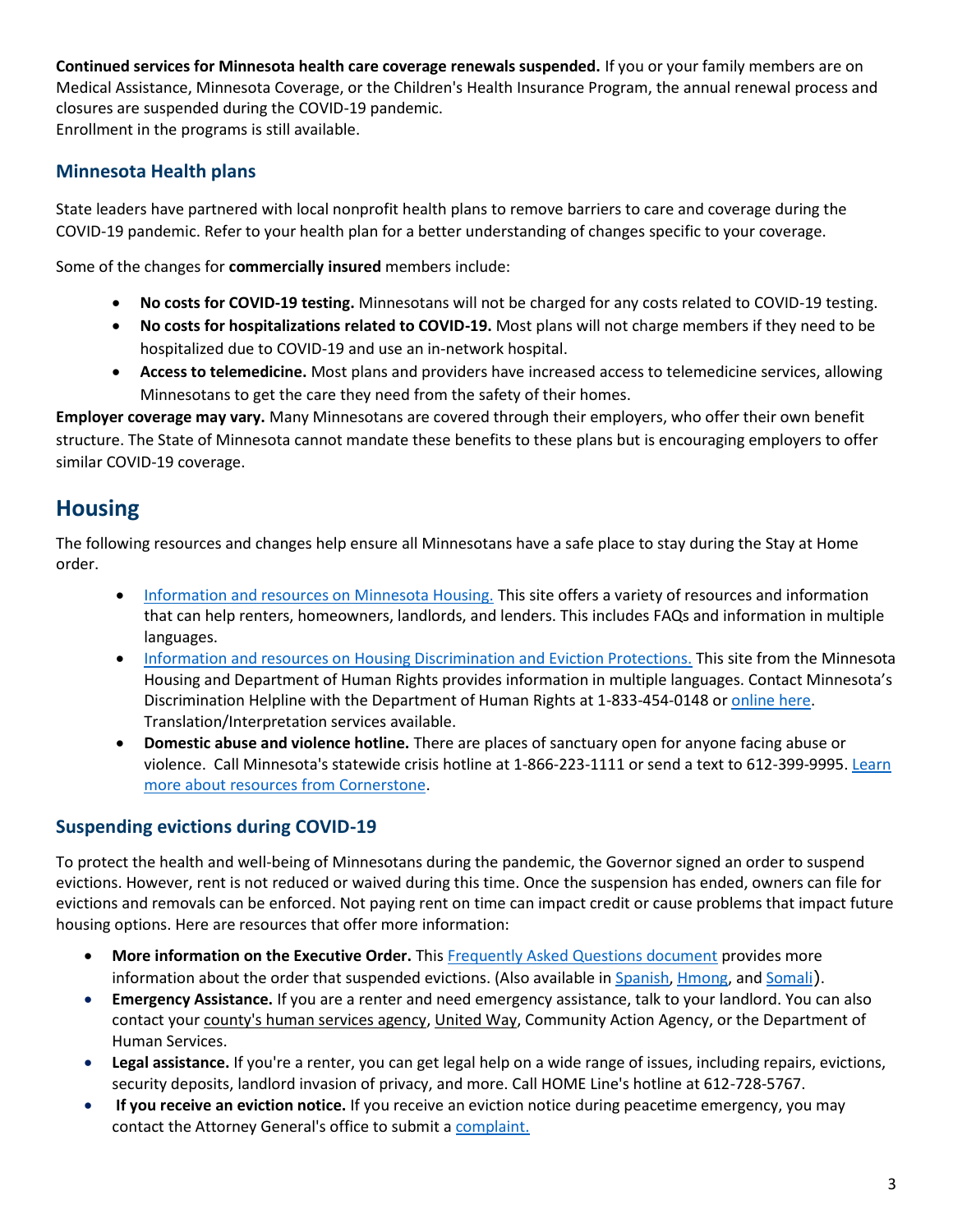**Continued services for Minnesota health care coverage renewals suspended.** If you or your family members are on Medical Assistance, Minnesota Coverage, or the Children's Health Insurance Program, the annual renewal process and closures are suspended during the COVID-19 pandemic. Enrollment in the programs is still available.

#### **Minnesota Health plans**

State leaders have partnered with local nonprofit health plans to remove barriers to care and coverage during the COVID-19 pandemic. Refer to your health plan for a better understanding of changes specific to your coverage.

Some of the changes for **commercially insured** members include:

- **No costs for COVID-19 testing.** Minnesotans will not be charged for any costs related to COVID-19 testing.
- **No costs for hospitalizations related to COVID-19.** Most plans will not charge members if they need to be hospitalized due to COVID-19 and use an in-network hospital.
- **Access to telemedicine.** Most plans and providers have increased access to telemedicine services, allowing Minnesotans to get the care they need from the safety of their homes.

**Employer coverage may vary.** Many Minnesotans are covered through their employers, who offer their own benefit structure. The State of Minnesota cannot mandate these benefits to these plans but is encouraging employers to offer similar COVID-19 coverage.

### **Housing**

The following resources and changes help ensure all Minnesotans have a safe place to stay during the Stay at Home order.

- [Information and resources on Minnesota Housing.](http://www.mnhousing.gov/sites/Satellite?c=Page&cid=1520221592207&pagename=External%2FPage%2FEXTStandardLayout) This site offers a variety of resources and information that can help renters, homeowners, landlords, and lenders. This includes FAQs and information in multiple languages.
- [Information and resources on Housing Discrimination and Eviction Protections.](https://mn.gov/mdhr/news-community/newsroom/civilrightsupdates.jsp?id=423491) This site from the Minnesota Housing and Department of Human Rights provides information in multiple languages. Contact Minnesota's Discrimination Helpline with the Department of Human Rights at 1-833-454-0148 or [online here.](https://mn.gov/mdhr/intake/consultationinquiryform/) Translation/Interpretation services available.
- **Domestic abuse and violence hotline.** There are places of sanctuary open for anyone facing abuse or violence. Call Minnesota's statewide crisis hotline at 1-866-223-1111 or send a text to 612-399-9995[. Learn](https://cornerstonemn.org/emergency-services/statewide-hotline/)  [more about resources from Cornerstone.](https://cornerstonemn.org/emergency-services/statewide-hotline/)

#### **Suspending evictions during COVID-19**

To protect the health and well-being of Minnesotans during the pandemic, the Governor signed an order to suspend evictions. However, rent is not reduced or waived during this time. Once the suspension has ended, owners can file for evictions and removals can be enforced. Not paying rent on time can impact credit or cause problems that impact future housing options. Here are resources that offer more information:

- More information on the Executive Order. This **Frequently Asked Questions document provides more** information about the order that suspended evictions. (Also available i[n Spanish,](http://www.mnhousing.gov/sites/Satellite?blobcol=urldata&blobheadername1=Content-Type&blobheadername2=Content-Disposition&blobheadername3=MDT-Type&blobheadervalue1=application%2Fpdf&blobheadervalue2=attachment%3B+filename%3DMHFA_238709.pdf&blobheadervalue3=abinary%3B+charset%3DUTF-8&blobkey=id&blobtable=MungoBlobs&blobwhere=1533150936975&ssbinary=true) [Hmong,](http://www.mnhousing.gov/sites/Satellite?blobcol=urldata&blobheadername1=Content-Type&blobheadername2=Content-Disposition&blobheadername3=MDT-Type&blobheadervalue1=application%2Fpdf&blobheadervalue2=attachment%3B+filename%3DMHFA_238710.pdf&blobheadervalue3=abinary%3B+charset%3DUTF-8&blobkey=id&blobtable=MungoBlobs&blobwhere=1533150937001&ssbinary=true) and [Somali](http://www.mnhousing.gov/sites/Satellite?blobcol=urldata&blobheadername1=Content-Type&blobheadername2=Content-Disposition&blobheadername3=MDT-Type&blobheadervalue1=application%2Fpdf&blobheadervalue2=attachment%3B+filename%3DMHFA_238711.pdf&blobheadervalue3=abinary%3B+charset%3DUTF-8&blobkey=id&blobtable=MungoBlobs&blobwhere=1533150937027&ssbinary=true)).
- **Emergency Assistance.** If you are a renter and need emergency assistance, talk to your landlord. You can also contact your [county's human services agency,](javascript:void(0);) [United Way,](https://www.211unitedway.org/) Community Action Agency, or the Department of Human Services.
- **Legal assistance.** If you're a renter, you can get legal help on a wide range of issues, including repairs, evictions, security deposits, landlord invasion of privacy, and more. Call HOME Line's hotline at 612-728-5767.
- **If you receive an eviction notice.** If you receive an eviction notice during peacetime emergency, you may contact the Attorney General's office to submit [a complaint.](http://www.ag.state.mn.us/)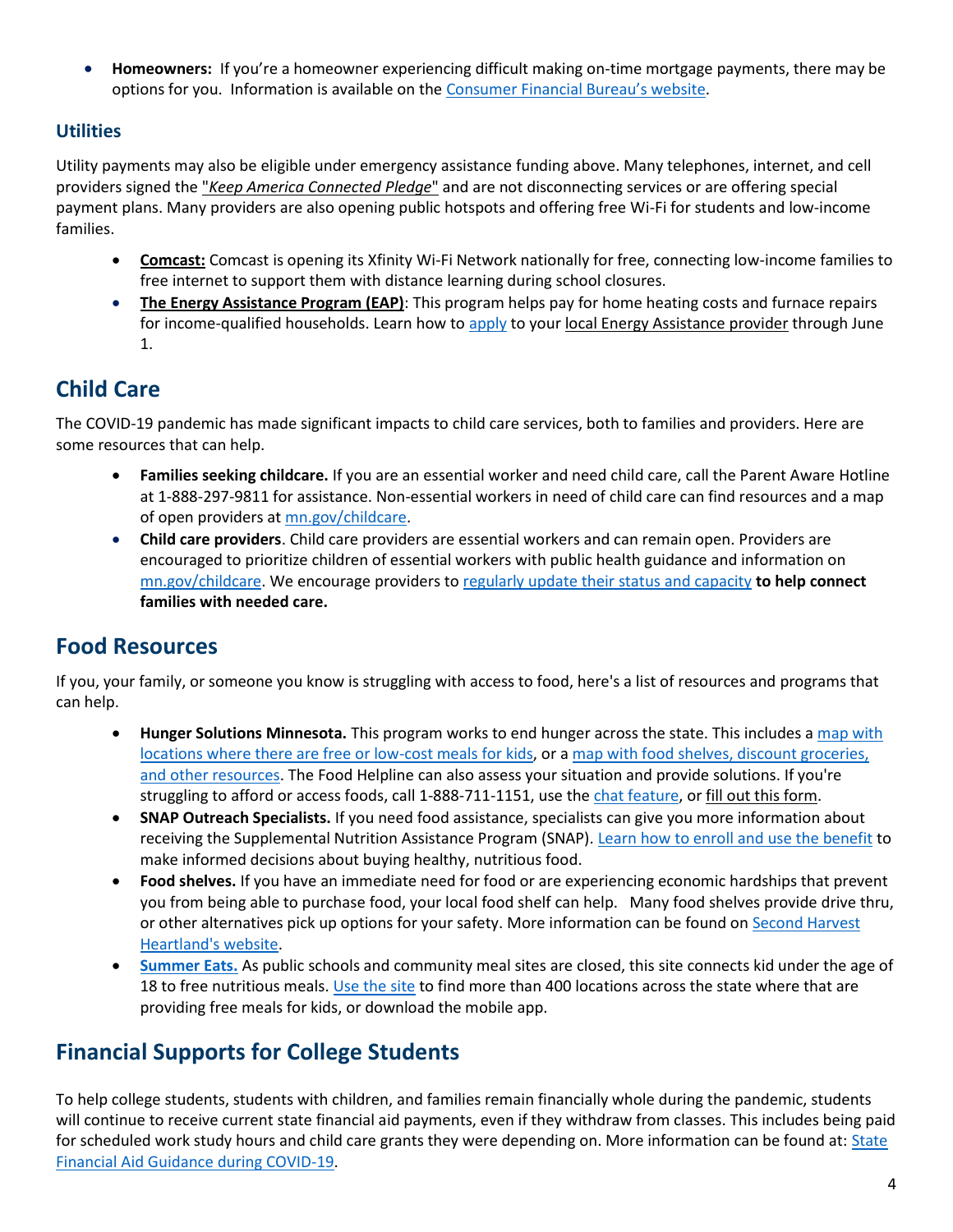• **Homeowners:** If you're a homeowner experiencing difficult making on-time mortgage payments, there may be options for you. Information is available on the Consumer [Financial Bureau's website](https://www.consumerfinance.gov/about-us/blog/guide-coronavirus-mortgage-relief-options/).

#### **Utilities**

Utility payments may also be eligible under emergency assistance funding above. Many telephones, internet, and cell providers signed th[e "](https://docs.fcc.gov/public/attachments/DOC-363033A1.pdf)*[Keep America Connected Pledge](https://docs.fcc.gov/public/attachments/DOC-363033A1.pdf)*["](https://docs.fcc.gov/public/attachments/DOC-363033A1.pdf) and are not disconnecting services or are offering special payment plans. Many providers are also opening public hotspots and offering free Wi-Fi for students and low-income families.

- **[Comcast:](https://corporate.comcast.com/covid-19)** Comcast is opening its Xfinity Wi-Fi Network nationally for free, connecting low-income families to free internet to support them with distance learning during school closures.
- **[The Energy Assistance Program \(EAP\)](https://mn.gov/commerce/consumers/consumer-assistance/energy-assistance/)**: This program helps pay for home heating costs and furnace repairs for income-qualified households. Learn how to [apply](https://mn.gov/commerce/consumers/consumer-assistance/energy-assistance/eap-provider.jsp) to your [local Energy Assistance provider](https://mn.gov/commerce/consumers/consumer-assistance/energy-assistance/eap-provider.jsp) through June 1.

## **Child Care**

The COVID-19 pandemic has made significant impacts to child care services, both to families and providers. Here are some resources that can help.

- **Families seeking childcare.** If you are an essential worker and need child care, call the Parent Aware Hotline at 1-888-297-9811 for assistance. Non-essential workers in need of child care can find resources and a map of open providers at [mn.gov/childcare.](https://mn.gov/childcare/)
- **Child care providers**. Child care providers are essential workers and can remain open. Providers are encouraged to prioritize children of essential workers with public health guidance and information on [mn.gov/childcare.](https://mn.gov/childcare/) We encourage providers t[o regularly update their status and capacity](https://survey.mn.gov/s.asp?k=158439734205) **to help connect families with needed care.**

## **Food Resources**

If you, your family, or someone you know is struggling with access to food, here's a list of resources and programs that can help.

- **Hunger Solutions Minnesota.** This program works to end hunger across the state. This includes a [map with](http://www.hungersolutions.org/2020/03/16/meals-for-kids-during-covid-19-closings/)  [locations where there are free or low-cost meals for kids,](http://www.hungersolutions.org/2020/03/16/meals-for-kids-during-covid-19-closings/) or a [map with food shelves, discount groceries,](http://www.hungersolutions.org/find-help/)  [and other resources.](http://www.hungersolutions.org/find-help/) The Food Helpline can also assess your situation and provide solutions. If you're struggling to afford or access foods, call 1-888-711-1151, use th[e chat feature,](http://www.hungersolutions.org/programs/mn-food-helpline/) o[r fill out this form.](http://www.hungersolutions.org/find-help/)
- **SNAP Outreach Specialists.** If you need food assistance, specialists can give you more information about receiving the Supplemental Nutrition Assistance Program (SNAP). [Learn how to enroll and use the benefit](https://applymn.dhs.mn.gov/online-app-web/spring/public/process-login?execution=e1s1) to make informed decisions about buying healthy, nutritious food.
- **Food shelves.** If you have an immediate need for food or are experiencing economic hardships that prevent you from being able to purchase food, your local food shelf can help. Many food shelves provide drive thru, or other alternatives pick up options for your safety. More information can be found on Second Harvest [Heartland's website.](https://www.2harvest.org/who--how-we-help/services-and-programs/services/agency-list.html#.XoztyTZYZPY)
- **[Summer Eats.](https://www.summereatsmn.org/)** As public schools and community meal sites are closed, this site connects kid under the age of 18 to free nutritious meals. [Use the site](https://www.summereatsmn.org/) to find more than 400 locations across the state where that are providing free meals for kids, or download the mobile app.

## **Financial Supports for College Students**

To help college students, students with children, and families remain financially whole during the pandemic, students will continue to receive current state financial aid payments, even if they withdraw from classes. This includes being paid for scheduled work study hours and child care grants they were depending on. More information can be found at: [State](https://www.ohe.state.mn.us/mPg.cfm?pageID=2391)  [Financial Aid Guidance during COVID-19.](https://www.ohe.state.mn.us/mPg.cfm?pageID=2391)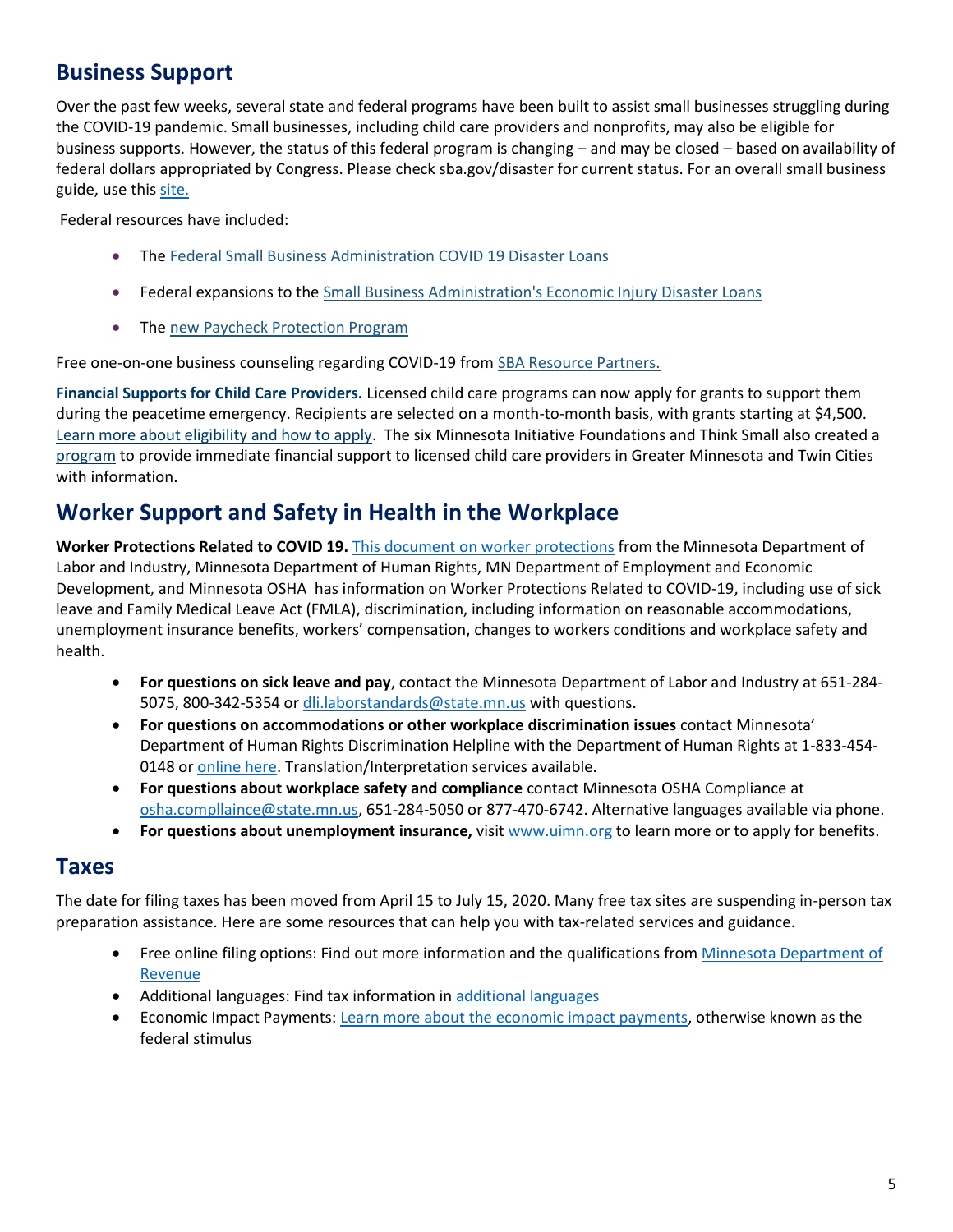## **Business Support**

Over the past few weeks, several state and federal programs have been built to assist small businesses struggling during the COVID-19 pandemic. Small businesses, including child care providers and nonprofits, may also be eligible for business supports. However, the status of this federal program is changing – and may be closed – based on availability of federal dollars appropriated by Congress. Please check sba.gov/disaster for current status. For an overall small business guide, use this [site.](https://mn.gov/deed/newscenter/covid/employers/small-business-help/)

Federal resources have included:

- The [Federal Small Business Administration COVID 19 Disaster Loans](https://mn.gov/deed/business/financing-business/federal-sba/)
- Federal expansions to th[e Small Business Administration's Economic Injury Disaster Loans](https://gcc01.safelinks.protection.outlook.com/?url=https%3A%2F%2Fwww.sba.gov%2Ffunding-programs%2Fdisaster-assistance&data=02%7C01%7CBrenda.Sanchez%40state.mn.us%7Ce051481030f74db5b31408d7d7dd1500%7Ceb14b04624c445198f26b89c2159828c%7C0%7C0%7C637215216854769177&sdata=mEAQ8o8UlmhsuvJOLr2fK2WFIdZcMFIiIxFvT68Q5qA%3D&reserved=0)
- The [new Paycheck Protection Program](https://gcc01.safelinks.protection.outlook.com/?url=https%3A%2F%2Fwww.sba.gov%2Ffunding-programs%2Floans%2Fpaycheck-protection-program-ppp%23section-header-2&data=02%7C01%7CBrenda.Sanchez%40state.mn.us%7Ce051481030f74db5b31408d7d7dd1500%7Ceb14b04624c445198f26b89c2159828c%7C0%7C0%7C637215216854779136&sdata=5lWA%2FKGxohw6t%2B0I%2FXYpWLUtZDinkXIsKWZT4B20A34%3D&reserved=0)

Free one-on-one business counseling regarding COVID-19 from [SBA Resource Partners.](https://gcc01.safelinks.protection.outlook.com/?url=https%3A%2F%2Fwww.sba.gov%2Flocal-assistance&data=02%7C01%7CBrenda.Sanchez%40state.mn.us%7Ce051481030f74db5b31408d7d7dd1500%7Ceb14b04624c445198f26b89c2159828c%7C0%7C0%7C637215216854779136&sdata=2dM0Bz9HXbjBMtKrvrMsdgd70p86o6sT1CcfNCrMCxg%3D&reserved=0)

**Financial Supports for Child Care Providers.** Licensed child care programs can now apply for grants to support them during the peacetime emergency. Recipients are selected on a month-to-month basis, with grants starting at \$4,500. [Learn more about eligibility and how to apply.](https://www.childcareawaremn.org/providers/emergency-child-care-grants/) The six Minnesota Initiative Foundations and Think Small also created a [program](https://www.greaterminnesota.net/childcare/) to provide immediate financial support to licensed child care providers in Greater Minnesota and Twin Cities with information.

## **Worker Support and Safety in Health in the Workplace**

**Worker Protections Related to COVID 19.** [This document on worker protections](https://www.dli.mn.gov/sites/default/files/pdf/MN_worker_protections_related_to_COVID_19.pdf) from the Minnesota Department of Labor and Industry, Minnesota Department of Human Rights, MN Department of Employment and Economic Development, and Minnesota OSHA has information on Worker Protections Related to COVID-19, including use of sick leave and Family Medical Leave Act (FMLA), discrimination, including information on reasonable accommodations, unemployment insurance benefits, workers' compensation, changes to workers conditions and workplace safety and health.

- **For questions on sick leave and pay**, contact the Minnesota Department of Labor and Industry at 651-284- 5075, 800-342-5354 o[r dli.laborstandards@state.mn.us](mailto:dli.laborstandards@state.mn.us) with questions.
- **For questions on accommodations or other workplace discrimination issues** contact Minnesota' Department of Human Rights Discrimination Helpline with the Department of Human Rights at 1-833-454- 0148 or [online here.](https://mn.gov/mdhr/intake/consultationinquiryform/) Translation/Interpretation services available.
- **For questions about workplace safety and compliance** contact Minnesota OSHA Compliance at [osha.compllaince@state.mn.us,](mailto:osha.compllaince@state.mn.us) 651-284-5050 or 877-470-6742. Alternative languages available via phone.
- **For questions about unemployment insurance,** visi[t www.uimn.org](http://www.uimn.org/) to learn more or to apply for benefits.

#### **Taxes**

The date for filing taxes has been moved from April 15 to July 15, 2020. Many free tax sites are suspending in-person tax preparation assistance. Here are some resources that can help you with tax-related services and guidance.

- Free online filing options: Find out more information and the qualifications from [Minnesota Department of](https://www.revenue.state.mn.us/free-electronic-filing)  [Revenue](https://www.revenue.state.mn.us/free-electronic-filing)
- Additional languages: Find tax information in [additional languages](https://www.revenue.state.mn.us/index.php/other-languages)
- Economic Impact Payments[: Learn more about the economic impact payments,](https://www.irs.gov/newsroom/economic-impact-payments-what-you-need-to-know) otherwise known as the federal stimulus